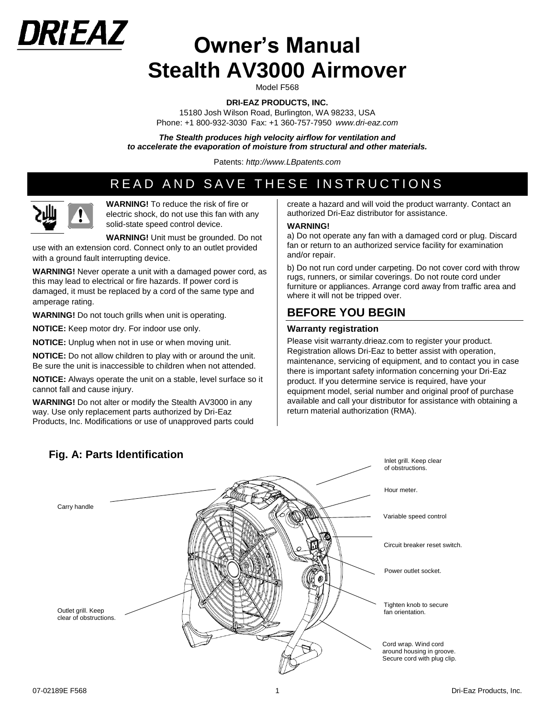

# **Owner's Manual Stealth AV3000 Airmover**

Model F568

**DRI-EAZ PRODUCTS, INC.** 

15180 Josh Wilson Road, Burlington, WA 98233, USA Phone: +1 800-932-3030 Fax: +1 360-757-7950 *www.dri*-*eaz.com*

*The Stealth produces high velocity airflow for ventilation and to accelerate the evaporation of moisture from structural and other materials.* 

Patents: *[http://www.LBpatents.com](http://www.lbpatents.com/)*

# READ AND SAVE THESE INSTRUCTIONS



**WARNING!** To reduce the risk of fire or electric shock, do not use this fan with any solid-state speed control device.

**WARNING!** Unit must be grounded. Do not use with an extension cord. Connect only to an outlet provided with a ground fault interrupting device.

**WARNING!** Never operate a unit with a damaged power cord, as this may lead to electrical or fire hazards. If power cord is damaged, it must be replaced by a cord of the same type and amperage rating.

**WARNING!** Do not touch grills when unit is operating.

**NOTICE:** Keep motor dry. For indoor use only.

**NOTICE:** Unplug when not in use or when moving unit.

**NOTICE:** Do not allow children to play with or around the unit. Be sure the unit is inaccessible to children when not attended.

**NOTICE:** Always operate the unit on a stable, level surface so it cannot fall and cause injury.

**WARNING!** Do not alter or modify the Stealth AV3000 in any way. Use only replacement parts authorized by Dri-Eaz Products, Inc. Modifications or use of unapproved parts could

#### create a hazard and will void the product warranty. Contact an authorized Dri-Eaz distributor for assistance.

#### **WARNING!**

a) Do not operate any fan with a damaged cord or plug. Discard fan or return to an authorized service facility for examination and/or repair.

b) Do not run cord under carpeting. Do not cover cord with throw rugs, runners, or similar coverings. Do not route cord under furniture or appliances. Arrange cord away from traffic area and where it will not be tripped over.

## **BEFORE YOU BEGIN**

## **Warranty registration**

Please visit warranty.drieaz.com to register your product. Registration allows Dri-Eaz to better assist with operation, maintenance, servicing of equipment, and to contact you in case there is important safety information concerning your Dri-Eaz product. If you determine service is required, have your equipment model, serial number and original proof of purchase available and call your distributor for assistance with obtaining a return material authorization (RMA).



## **Fig. A: Parts Identification**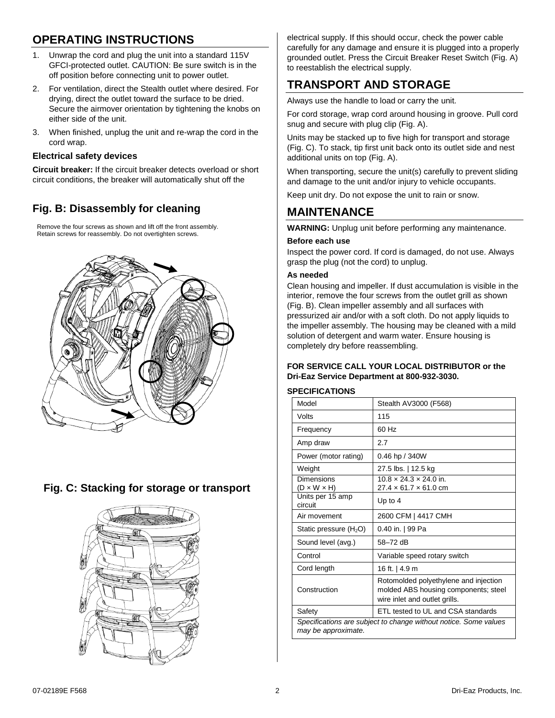# **OPERATING INSTRUCTIONS**

- 1. Unwrap the cord and plug the unit into a standard 115V GFCI-protected outlet. CAUTION: Be sure switch is in the off position before connecting unit to power outlet.
- 2. For ventilation, direct the Stealth outlet where desired. For drying, direct the outlet toward the surface to be dried. Secure the airmover orientation by tightening the knobs on either side of the unit.
- 3. When finished, unplug the unit and re-wrap the cord in the cord wrap.

## **Electrical safety devices**

**Circuit breaker:** If the circuit breaker detects overload or short circuit conditions, the breaker will automatically shut off the

## **Fig. B: Disassembly for cleaning**

Remove the four screws as shown and lift off the front assembly. Retain screws for reassembly. Do not overtighten screws.



## **Fig. C: Stacking for storage or transport**



electrical supply. If this should occur, check the power cable carefully for any damage and ensure it is plugged into a properly grounded outlet. Press the Circuit Breaker Reset Switch (Fig. A) to reestablish the electrical supply.

# **TRANSPORT AND STORAGE**

Always use the handle to load or carry the unit.

For cord storage, wrap cord around housing in groove. Pull cord snug and secure with plug clip (Fig. A).

Units may be stacked up to five high for transport and storage (Fig. C). To stack, tip first unit back onto its outlet side and nest additional units on top (Fig. A).

When transporting, secure the unit(s) carefully to prevent sliding and damage to the unit and/or injury to vehicle occupants.

Keep unit dry. Do not expose the unit to rain or snow.

# **MAINTENANCE**

**WARNING:** Unplug unit before performing any maintenance.

## **Before each use**

Inspect the power cord. If cord is damaged, do not use. Always grasp the plug (not the cord) to unplug.

#### **As needed**

Clean housing and impeller. If dust accumulation is visible in the interior, remove the four screws from the outlet grill as shown (Fig. B). Clean impeller assembly and all surfaces with pressurized air and/or with a soft cloth. Do not apply liquids to the impeller assembly. The housing may be cleaned with a mild solution of detergent and warm water. Ensure housing is completely dry before reassembling.

## **FOR SERVICE CALL YOUR LOCAL DISTRIBUTOR or the Dri-Eaz Service Department at 800-932-3030.**

## **SPECIFICATIONS**

| Model                                                                                   | Stealth AV3000 (F568)                                                                                          |  |
|-----------------------------------------------------------------------------------------|----------------------------------------------------------------------------------------------------------------|--|
| Volts                                                                                   | 115                                                                                                            |  |
| Frequency                                                                               | 60 Hz                                                                                                          |  |
| Amp draw                                                                                | 2.7                                                                                                            |  |
| Power (motor rating)                                                                    | 0.46 hp / 340W                                                                                                 |  |
| Weight                                                                                  | 27.5 lbs.   12.5 kg                                                                                            |  |
| Dimensions<br>$(D \times W \times H)$                                                   | $10.8 \times 24.3 \times 24.0$ in.<br>27.4 × 61.7 × 61.0 cm                                                    |  |
| Units per 15 amp<br>circuit                                                             | Up to $4$                                                                                                      |  |
| Air movement                                                                            | 2600 CFM   4417 CMH                                                                                            |  |
| Static pressure $(H2O)$                                                                 | 0.40 in.   99 Pa                                                                                               |  |
| Sound level (avg.)                                                                      | 58-72 dB                                                                                                       |  |
| Control                                                                                 | Variable speed rotary switch                                                                                   |  |
| Cord length                                                                             | 16 ft.   4.9 m                                                                                                 |  |
| Construction                                                                            | Rotomolded polyethylene and injection<br>molded ABS housing components; steel<br>wire inlet and outlet grills. |  |
| Safety                                                                                  | ETL tested to UL and CSA standards                                                                             |  |
| Specifications are subject to change without notice. Some values<br>may be approximate. |                                                                                                                |  |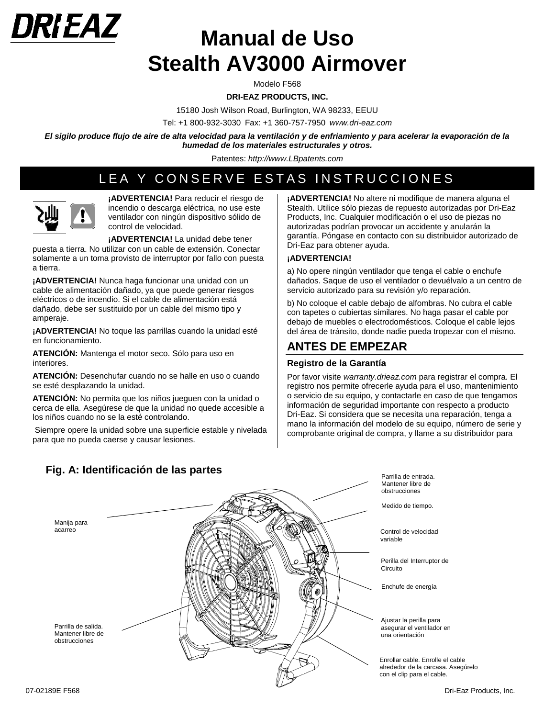

# **Manual de Uso Stealth AV3000 Airmover**

Modelo F568

**DRI-EAZ PRODUCTS, INC.** 

15180 Josh Wilson Road, Burlington, WA 98233, EEUU

Tel: +1 800-932-3030 Fax: +1 360-757-7950 *www.dri*-*eaz.com*

*El sigilo produce flujo de aire de alta velocidad para la ventilación y de enfriamiento y para acelerar la evaporación de la humedad de los materiales estructurales y otros.*

Patentes: *[http://www.LBpatents.com](http://www.lbpatents.com/)*

# LEA Y CONSERVE ESTAS INSTRUCCIONES



**¡ADVERTENCIA!** Para reducir el riesgo de incendio o descarga eléctrica, no use este ventilador con ningún dispositivo sólido de control de velocidad.

**¡ADVERTENCIA!** La unidad debe tener

puesta a tierra. No utilizar con un cable de extensión. Conectar solamente a un toma provisto de interruptor por fallo con puesta a tierra.

**¡ADVERTENCIA!** Nunca haga funcionar una unidad con un cable de alimentación dañado, ya que puede generar riesgos eléctricos o de incendio. Si el cable de alimentación está dañado, debe ser sustituido por un cable del mismo tipo y amperaje.

**¡ADVERTENCIA!** No toque las parrillas cuando la unidad esté en funcionamiento.

**ATENCIÓN:** Mantenga el motor seco. Sólo para uso en interiores.

**ATENCIÓN:** Desenchufar cuando no se halle en uso o cuando se esté desplazando la unidad.

**ATENCIÓN:** No permita que los niños jueguen con la unidad o cerca de ella. Asegúrese de que la unidad no quede accesible a los niños cuando no se la esté controlando.

Siempre opere la unidad sobre una superficie estable y nivelada para que no pueda caerse y causar lesiones.

**¡ADVERTENCIA!** No altere ni modifique de manera alguna el Stealth. Utilice sólo piezas de repuesto autorizadas por Dri-Eaz Products, Inc. Cualquier modificación o el uso de piezas no autorizadas podrían provocar un accidente y anularán la garantía. Póngase en contacto con su distribuidor autorizado de Dri-Eaz para obtener ayuda.

#### **¡ADVERTENCIA!**

a) No opere ningún ventilador que tenga el cable o enchufe dañados. Saque de uso el ventilador o devuélvalo a un centro de servicio autorizado para su revisión y/o reparación.

b) No coloque el cable debajo de alfombras. No cubra el cable con tapetes o cubiertas similares. No haga pasar el cable por debajo de muebles o electrodomésticos. Coloque el cable lejos del área de tránsito, donde nadie pueda tropezar con el mismo.

## **ANTES DE EMPEZAR**

## **Registro de la Garantía**

Por favor visite *warranty.drieaz.com* para registrar el compra. El registro nos permite ofrecerle ayuda para el uso, mantenimiento o servicio de su equipo, y contactarle en caso de que tengamos información de seguridad importante con respecto a producto Dri-Eaz. Si considera que se necesita una reparación, tenga a mano la información del modelo de su equipo, número de serie y comprobante original de compra, y llame a su distribuidor para



**Fig. A: Identificación de las partes**

Parrilla de entrada. Mantener libre de obstrucciones

Medido de tiempo.

Control de velocidad variable

Perilla del Interruptor de Circuito

Enchufe de energía

Ajustar la perilla para asegurar el ventilador en una orientación

Enrollar cable. Enrolle el cable alrededor de la carcasa. Asegúrelo con el clip para el cable.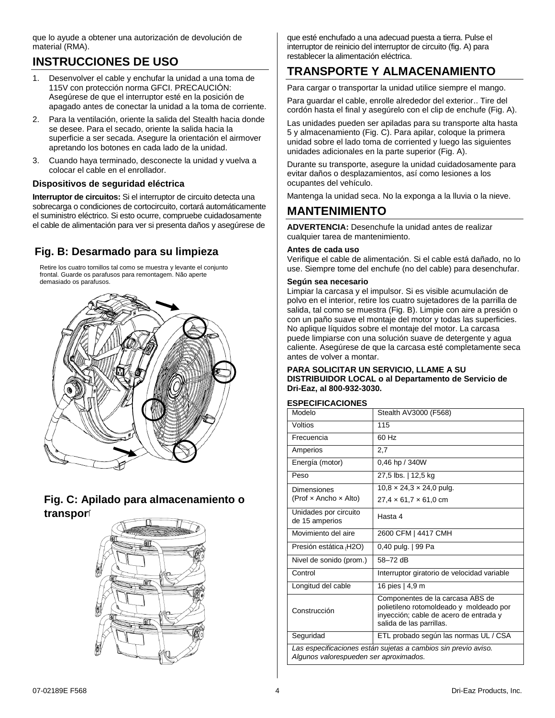que lo ayude a obtener una autorización de devolución de material (RMA).

# **INSTRUCCIONES DE USO**

- 1. Desenvolver el cable y enchufar la unidad a una toma de 115V con protección norma GFCI. PRECAUCIÓN: Asegúrese de que el interruptor esté en la posición de apagado antes de conectar la unidad a la toma de corriente.
- 2. Para la ventilación, oriente la salida del Stealth hacia donde se desee. Para el secado, oriente la salida hacia la superficie a ser secada. Asegure la orientación el airmover apretando los botones en cada lado de la unidad.
- 3. Cuando haya terminado, desconecte la unidad y vuelva a colocar el cable en el enrollador.

## **Dispositivos de seguridad eléctrica**

**Interruptor de circuitos:** Si el interruptor de circuito detecta una sobrecarga o condiciones de cortocircuito, cortará automáticamente el suministro eléctrico. Si esto ocurre, compruebe cuidadosamente el cable de alimentación para ver si presenta daños y asegúrese de

## **Fig. B: Desarmado para su limpieza**

Retire los cuatro tornillos tal como se muestra y levante el conjunto frontal. Guarde os parafusos para remontagem. Não aperte demasiado os parafusos.



## **Fig. C: Apilado para almacenamiento o transport**



que esté enchufado a una adecuad puesta a tierra. Pulse el interruptor de reinicio del interruptor de circuito (fig. A) para restablecer la alimentación eléctrica.

# **TRANSPORTE Y ALMACENAMIENTO**

Para cargar o transportar la unidad utilice siempre el mango.

Para guardar el cable, enrolle alrededor del exterior.. Tire del cordón hasta el final y asegúrelo con el clip de enchufe (Fig. A).

Las unidades pueden ser apiladas para su transporte alta hasta 5 y almacenamiento (Fig. C). Para apilar, coloque la primera unidad sobre el lado toma de corriented y luego las siguientes unidades adicionales en la parte superior (Fig. A).

Durante su transporte, asegure la unidad cuidadosamente para evitar daños o desplazamientos, así como lesiones a los ocupantes del vehículo.

Mantenga la unidad seca. No la exponga a la lluvia o la nieve.

## **MANTENIMIENTO**

**ADVERTENCIA:** Desenchufe la unidad antes de realizar cualquier tarea de mantenimiento.

#### **Antes de cada uso**

Verifique el cable de alimentación. Si el cable está dañado, no lo use. Siempre tome del enchufe (no del cable) para desenchufar.

#### **Según sea necesario**

Limpiar la carcasa y el impulsor. Si es visible acumulación de polvo en el interior, retire los cuatro sujetadores de la parrilla de salida, tal como se muestra (Fig. B). Limpie con aire a presión o con un paño suave el montaje del motor y todas las superficies. No aplique líquidos sobre el montaje del motor. La carcasa puede limpiarse con una solución suave de detergente y agua caliente. Asegúrese de que la carcasa esté completamente seca antes de volver a montar.

#### **PARA SOLICITAR UN SERVICIO, LLAME A SU DISTRIBUIDOR LOCAL o al Departamento de Servicio de Dri-Eaz, al 800-932-3030.**

## **ESPECIFICACIONES**

| Modelo                                                                                                   | Stealth AV3000 (F568)                                                                                                                             |  |
|----------------------------------------------------------------------------------------------------------|---------------------------------------------------------------------------------------------------------------------------------------------------|--|
| Voltios                                                                                                  | 115                                                                                                                                               |  |
| Frecuencia                                                                                               | 60 Hz                                                                                                                                             |  |
| Amperios                                                                                                 | 2,7                                                                                                                                               |  |
| Energía (motor)                                                                                          | 0,46 hp / 340W                                                                                                                                    |  |
| Peso                                                                                                     | 27,5 lbs.   12,5 kg                                                                                                                               |  |
| Dimensiones                                                                                              | $10.8 \times 24.3 \times 24.0$ pulg.                                                                                                              |  |
| (Prof $\times$ Ancho $\times$ Alto)                                                                      | $27.4 \times 61.7 \times 61.0$ cm                                                                                                                 |  |
| Unidades por circuito<br>de 15 amperios                                                                  | Hasta 4                                                                                                                                           |  |
| Movimiento del aire                                                                                      | 2600 CFM   4417 CMH                                                                                                                               |  |
| Presión estática (H2O)                                                                                   | 0,40 pulg.   99 Pa                                                                                                                                |  |
| Nivel de sonido (prom.)                                                                                  | 58-72 dB                                                                                                                                          |  |
| Control                                                                                                  | Interruptor giratorio de velocidad variable                                                                                                       |  |
| Longitud del cable                                                                                       | 16 pies   4,9 m                                                                                                                                   |  |
| Construcción                                                                                             | Componentes de la carcasa ABS de<br>polietileno rotomoldeado y moldeado por<br>inyección; cable de acero de entrada y<br>salida de las parrillas. |  |
| Seguridad                                                                                                | ETL probado según las normas UL / CSA                                                                                                             |  |
| Las especificaciones están sujetas a cambios sin previo aviso.<br>Algunos valorespueden ser aproximados. |                                                                                                                                                   |  |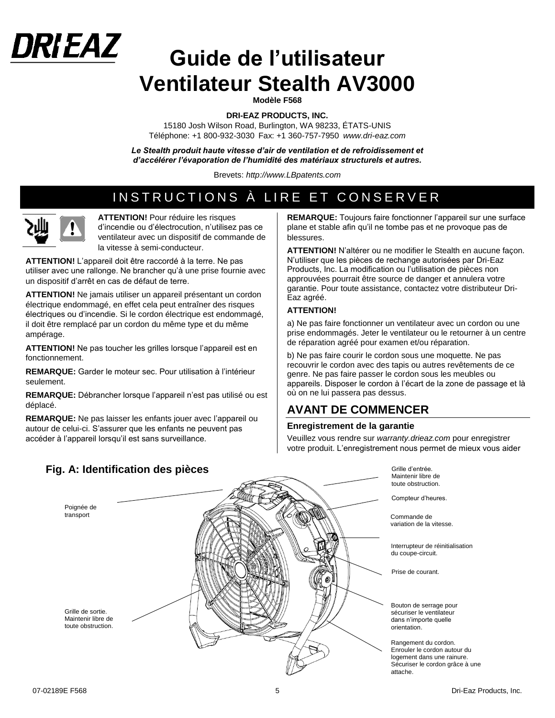# **Guide de l'utilisateur Ventilateur Stealth AV3000**

**Modèle F568**

**DRI-EAZ PRODUCTS, INC.** 

15180 Josh Wilson Road, Burlington, WA 98233, ÉTATS-UNIS Téléphone: +1 800-932-3030 Fax: +1 360-757-7950 *www.dri*-*eaz.com*

Le Stealth produit haute vitesse d'air de ventilation et de refroidissement et *d'accélérer l'évaporation de l'humidité des matériaux structurels et autres.*

Brevets: *[http://www.LBpatents.com](http://www.lbpatents.com/)*

# INSTRUCTIONS À LIRE ET CONSERVER



DRIEAZ

**ATTENTION!** Pour réduire les risques d'incendie ou d'électrocution, n'utilisez pas ce ventilateur avec un dispositif de commande de la vitesse à semi-conducteur.

**ATTENTION!** L'appareil doit être raccordé à la terre. Ne pas utiliser avec une rallonge. Ne brancher qu'à une prise fournie avec un dispositif d'arrêt en cas de défaut de terre.

**ATTENTION!** Ne jamais utiliser un appareil présentant un cordon électrique endommagé, en effet cela peut entraîner des risques électriques ou d'incendie. Si le cordon électrique est endommagé, il doit être remplacé par un cordon du même type et du même ampérage.

**ATTENTION!** Ne pas toucher les grilles lorsque l'appareil est en fonctionnement.

**REMARQUE:** Garder le moteur sec. Pour utilisation à l'intérieur seulement.

**REMARQUE:** Débrancher lorsque l'appareil n'est pas utilisé ou est déplacé.

**REMARQUE:** Ne pas laisser les enfants jouer avec l'appareil ou autour de celui-ci. S'assurer que les enfants ne peuvent pas accéder à l'appareil lorsqu'il est sans surveillance.

**REMARQUE:** Toujours faire fonctionner l'appareil sur une surface plane et stable afin qu'il ne tombe pas et ne provoque pas de blessures.

**ATTENTION!** N'altérer ou ne modifier le Stealth en aucune façon. N'utiliser que les pièces de rechange autorisées par Dri-Eaz Products, Inc. La modification ou l'utilisation de pièces non approuvées pourrait être source de danger et annulera votre garantie. Pour toute assistance, contactez votre distributeur Dri-Eaz agréé.

#### **ATTENTION!**

a) Ne pas faire fonctionner un ventilateur avec un cordon ou une prise endommagés. Jeter le ventilateur ou le retourner à un centre de réparation agréé pour examen et/ou réparation.

b) Ne pas faire courir le cordon sous une moquette. Ne pas recouvrir le cordon avec des tapis ou autres revêtements de ce genre. Ne pas faire passer le cordon sous les meubles ou appareils. Disposer le cordon à l'écart de la zone de passage et là où on ne lui passera pas dessus.

## **AVANT DE COMMENCER**

## **Enregistrement de la garantie**

Veuillez vous rendre sur *warranty.drieaz.com* pour enregistrer votre produit. L'enregistrement nous permet de mieux vous aider



**Fig. A: Identification des pièces**

Grille d'entrée. Maintenir libre de toute obstruction.

Compteur d'heures.

Commande de variation de la vitesse.

Interrupteur de réinitialisation du coupe-circuit.

Prise de courant.

Bouton de serrage pour sécuriser le ventilateur dans n'importe quelle orientation.

Rangement du cordon. Enrouler le cordon autour du logement dans une rainure. Sécuriser le cordon grâce à une attache.